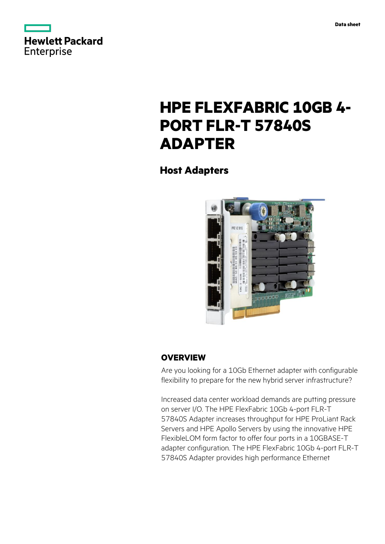

# **HPE FLEXFABRIC 10GB 4- PORT FLR-T 57840S ADAPTER**

**Host Adapters**



## **OVERVIEW**

Are you looking for a 10Gb Ethernet adapter with configurable flexibility to prepare for the new hybrid server infrastructure?

Increased data center workload demands are putting pressure on server I/O. The HPE FlexFabric 10Gb 4-port FLR-T 57840S Adapter increases throughput for HPE ProLiant Rack Servers and HPE Apollo Servers by using the innovative HPE FlexibleLOM form factor to offer four ports in a 10GBASE-T adapter configuration. The HPE FlexFabric 10Gb 4-port FLR-T 57840S Adapter provides high performance Ethernet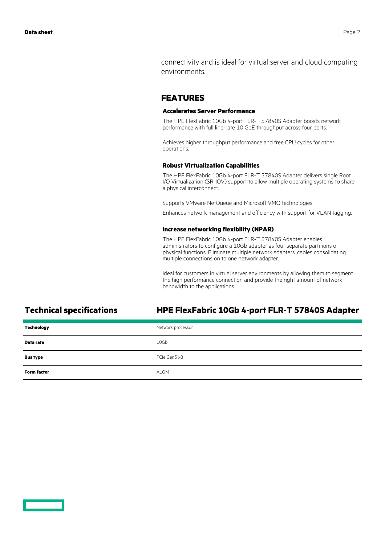connectivity and is ideal for virtual server and cloud computing environments.

## **FEATURES**

### **Accelerates Server Performance**

The HPE FlexFabric 10Gb 4-port FLR-T 57840S Adapter boosts network performance with full line-rate 10 GbE throughput across four ports.

Achieves higher throughput performance and free CPU cycles for other operations.

### **Robust Virtualization Capabilities**

The HPE FlexFabric 10Gb 4-port FLR-T 57840S Adapter delivers single Root I/O Virtualization (SR-IOV) support to allow multiple operating systems to share a physical interconnect.

Supports VMware NetQueue and Microsoft VMQ technologies.

Enhances network management and efficiency with support for VLAN tagging.

### **Increase networking flexibility (NPAR)**

The HPE FlexFabric 10Gb 4-port FLR-T 57840S Adapter enables administrators to configure a 10Gb adapter as four separate partitions or physical functions. Eliminate multiple network adapters, cables consolidating multiple connections on to one network adapter.

Ideal for customers in virtual server environments by allowing them to segment the high performance connection and provide the right amount of network bandwidth to the applications.

## **Technical specifications HPE FlexFabric 10Gb 4-port FLR-T 57840S Adapter**

| <b>Technology</b>  | Network processor |
|--------------------|-------------------|
| Data rate          | 10Gb              |
| <b>Bus type</b>    | PCIe Gen3 x8      |
| <b>Form factor</b> | ALOM              |